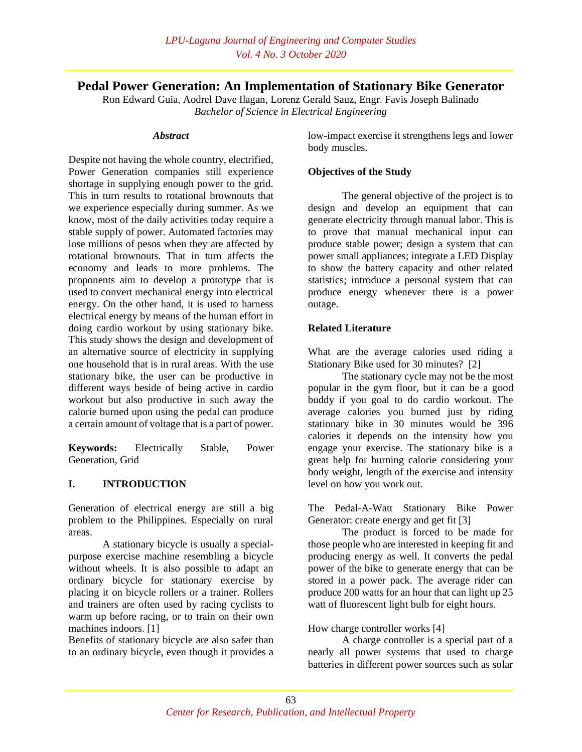# **Pedal Power Generation: An Implementation of Stationary Bike Generator**

Ron Edward Guia, Aodrel Dave Ilagan, Lorenz Gerald Sauz, Engr. Favis Joseph Balinado *Bachelor of Science in Electrical Engineering*

#### *Abstract*

Despite not having the whole country, electrified, Power Generation companies still experience shortage in supplying enough power to the grid. This in turn results to rotational brownouts that we experience especially during summer. As we know, most of the daily activities today require a stable supply of power. Automated factories may lose millions of pesos when they are affected by rotational brownouts. That in turn affects the economy and leads to more problems. The proponents aim to develop a prototype that is used to convert mechanical energy into electrical energy. On the other hand, it is used to harness electrical energy by means of the human effort in doing cardio workout by using stationary bike. This study shows the design and development of an alternative source of electricity in supplying one household that is in rural areas. With the use stationary bike, the user can be productive in different ways beside of being active in cardio workout but also productive in such away the calorie burned upon using the pedal can produce a certain amount of voltage that is a part of power.

**Keywords:** Electrically Stable, Power Generation, Grid

### **I. INTRODUCTION**

Generation of electrical energy are still a big problem to the Philippines. Especially on rural areas.

A stationary bicycle is usually a specialpurpose exercise machine resembling a bicycle without wheels. It is also possible to adapt an ordinary bicycle for stationary exercise by placing it on bicycle rollers or a trainer. Rollers and trainers are often used by racing cyclists to warm up before racing, or to train on their own machines indoors. [1]

Benefits of stationary bicycle are also safer than to an ordinary bicycle, even though it provides a

low-impact exercise it strengthens legs and lower body muscles.

### **Objectives of the Study**

The general objective of the project is to design and develop an equipment that can generate electricity through manual labor. This is to prove that manual mechanical input can produce stable power; design a system that can power small appliances; integrate a LED Display to show the battery capacity and other related statistics; introduce a personal system that can produce energy whenever there is a power outage.

### **Related Literature**

What are the average calories used riding a Stationary Bike used for 30 minutes? [2]

The stationary cycle may not be the most popular in the gym floor, but it can be a good buddy if you goal to do cardio workout. The average calories you burned just by riding stationary bike in 30 minutes would be 396 calories it depends on the intensity how you engage your exercise. The stationary bike is a great help for burning calorie considering your body weight, length of the exercise and intensity level on how you work out.

The Pedal-A-Watt Stationary Bike Power Generator: create energy and get fit [3]

The product is forced to be made for those people who are interested in keeping fit and producing energy as well. It converts the pedal power of the bike to generate energy that can be stored in a power pack. The average rider can produce 200 watts for an hour that can light up 25 watt of fluorescent light bulb for eight hours.

How charge controller works [4]

A charge controller is a special part of a nearly all power systems that used to charge batteries in different power sources such as solar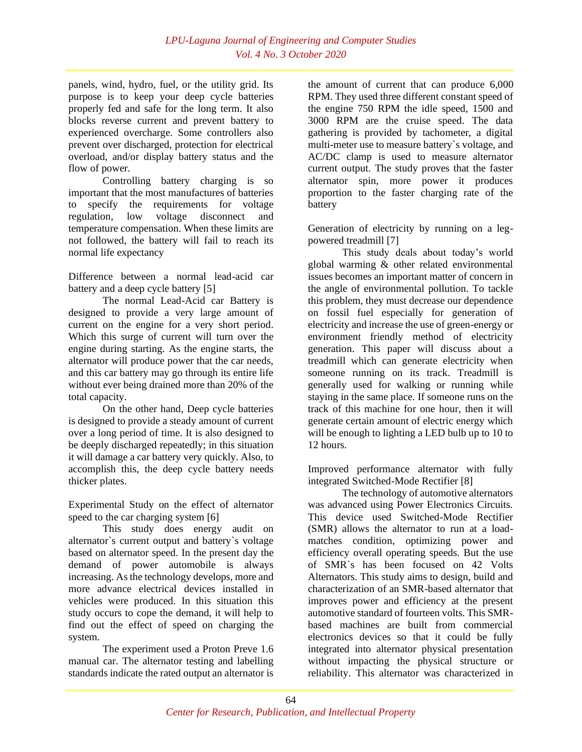panels, wind, hydro, fuel, or the utility grid. Its purpose is to keep your deep cycle batteries properly fed and safe for the long term. It also blocks reverse current and prevent battery to experienced overcharge. Some controllers also prevent over discharged, protection for electrical overload, and/or display battery status and the flow of power.

Controlling battery charging is so important that the most manufactures of batteries to specify the requirements for voltage regulation, low voltage disconnect and temperature compensation. When these limits are not followed, the battery will fail to reach its normal life expectancy

Difference between a normal lead-acid car battery and a deep cycle battery [5]

The normal Lead-Acid car Battery is designed to provide a very large amount of current on the engine for a very short period. Which this surge of current will turn over the engine during starting. As the engine starts, the alternator will produce power that the car needs, and this car battery may go through its entire life without ever being drained more than 20% of the total capacity.

On the other hand, Deep cycle batteries is designed to provide a steady amount of current over a long period of time. It is also designed to be deeply discharged repeatedly; in this situation it will damage a car battery very quickly. Also, to accomplish this, the deep cycle battery needs thicker plates.

Experimental Study on the effect of alternator speed to the car charging system [6]

This study does energy audit on alternator`s current output and battery`s voltage based on alternator speed. In the present day the demand of power automobile is always increasing. As the technology develops, more and more advance electrical devices installed in vehicles were produced. In this situation this study occurs to cope the demand, it will help to find out the effect of speed on charging the system.

The experiment used a Proton Preve 1.6 manual car. The alternator testing and labelling standards indicate the rated output an alternator is

the amount of current that can produce 6,000 RPM. They used three different constant speed of the engine 750 RPM the idle speed, 1500 and 3000 RPM are the cruise speed. The data gathering is provided by tachometer, a digital multi-meter use to measure battery`s voltage, and AC/DC clamp is used to measure alternator current output. The study proves that the faster alternator spin, more power it produces proportion to the faster charging rate of the battery

Generation of electricity by running on a legpowered treadmill [7]

This study deals about today's world global warming & other related environmental issues becomes an important matter of concern in the angle of environmental pollution. To tackle this problem, they must decrease our dependence on fossil fuel especially for generation of electricity and increase the use of green-energy or environment friendly method of electricity generation. This paper will discuss about a treadmill which can generate electricity when someone running on its track. Treadmill is generally used for walking or running while staying in the same place. If someone runs on the track of this machine for one hour, then it will generate certain amount of electric energy which will be enough to lighting a LED bulb up to 10 to 12 hours.

Improved performance alternator with fully integrated Switched-Mode Rectifier [8]

The technology of automotive alternators was advanced using Power Electronics Circuits. This device used Switched-Mode Rectifier (SMR) allows the alternator to run at a loadmatches condition, optimizing power and efficiency overall operating speeds. But the use of SMR`s has been focused on 42 Volts Alternators. This study aims to design, build and characterization of an SMR-based alternator that improves power and efficiency at the present automotive standard of fourteen volts. This SMRbased machines are built from commercial electronics devices so that it could be fully integrated into alternator physical presentation without impacting the physical structure or reliability. This alternator was characterized in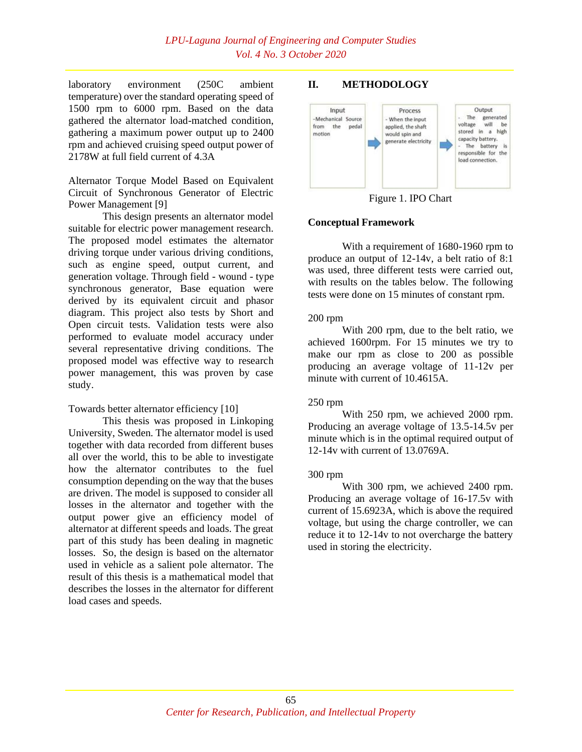laboratory environment (250C ambient temperature) over the standard operating speed of 1500 rpm to 6000 rpm. Based on the data gathered the alternator load-matched condition, gathering a maximum power output up to 2400 rpm and achieved cruising speed output power of 2178W at full field current of 4.3A

Alternator Torque Model Based on Equivalent Circuit of Synchronous Generator of Electric Power Management [9]

This design presents an alternator model suitable for electric power management research. The proposed model estimates the alternator driving torque under various driving conditions, such as engine speed, output current, and generation voltage. Through field - wound - type synchronous generator, Base equation were derived by its equivalent circuit and phasor diagram. This project also tests by Short and Open circuit tests. Validation tests were also performed to evaluate model accuracy under several representative driving conditions. The proposed model was effective way to research power management, this was proven by case study.

#### Towards better alternator efficiency [10]

This thesis was proposed in Linkoping University, Sweden. The alternator model is used together with data recorded from different buses all over the world, this to be able to investigate how the alternator contributes to the fuel consumption depending on the way that the buses are driven. The model is supposed to consider all losses in the alternator and together with the output power give an efficiency model of alternator at different speeds and loads. The great part of this study has been dealing in magnetic losses. So, the design is based on the alternator used in vehicle as a salient pole alternator. The result of this thesis is a mathematical model that describes the losses in the alternator for different load cases and speeds.

### **II. METHODOLOGY**



Figure 1. IPO Chart

### **Conceptual Framework**

With a requirement of 1680-1960 rpm to produce an output of 12-14v, a belt ratio of 8:1 was used, three different tests were carried out, with results on the tables below. The following tests were done on 15 minutes of constant rpm.

#### 200 rpm

With 200 rpm, due to the belt ratio, we achieved 1600rpm. For 15 minutes we try to make our rpm as close to 200 as possible producing an average voltage of 11-12v per minute with current of 10.4615A.

#### 250 rpm

With 250 rpm, we achieved 2000 rpm. Producing an average voltage of 13.5-14.5v per minute which is in the optimal required output of 12-14v with current of 13.0769A.

#### 300 rpm

With 300 rpm, we achieved 2400 rpm. Producing an average voltage of 16-17.5v with current of 15.6923A, which is above the required voltage, but using the charge controller, we can reduce it to 12-14v to not overcharge the battery used in storing the electricity.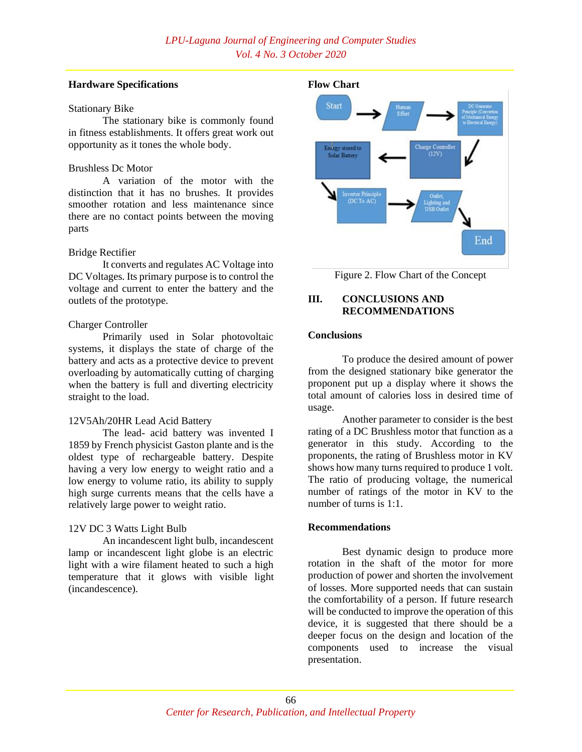#### **Hardware Specifications**

#### Stationary Bike

The stationary bike is commonly found in fitness establishments. It offers great work out opportunity as it tones the whole body.

### Brushless Dc Motor

A variation of the motor with the distinction that it has no brushes. It provides smoother rotation and less maintenance since there are no contact points between the moving parts

### Bridge Rectifier

It converts and regulates AC Voltage into DC Voltages. Its primary purpose is to control the voltage and current to enter the battery and the outlets of the prototype.

### Charger Controller

Primarily used in Solar photovoltaic systems, it displays the state of charge of the battery and acts as a protective device to prevent overloading by automatically cutting of charging when the battery is full and diverting electricity straight to the load.

### 12V5Ah/20HR Lead Acid Battery

The lead- acid battery was invented I 1859 by French physicist Gaston plante and is the oldest type of rechargeable battery. Despite having a very low energy to weight ratio and a low energy to volume ratio, its ability to supply high surge currents means that the cells have a relatively large power to weight ratio.

## 12V DC 3 Watts Light Bulb

An incandescent light bulb, incandescent lamp or incandescent light globe is an electric light with a wire filament heated to such a high temperature that it glows with visible light (incandescence).



Figure 2. Flow Chart of the Concept

### **III. CONCLUSIONS AND RECOMMENDATIONS**

### **Conclusions**

To produce the desired amount of power from the designed stationary bike generator the proponent put up a display where it shows the total amount of calories loss in desired time of usage.

Another parameter to consider is the best rating of a DC Brushless motor that function as a generator in this study. According to the proponents, the rating of Brushless motor in KV shows how many turns required to produce 1 volt. The ratio of producing voltage, the numerical number of ratings of the motor in KV to the number of turns is 1:1.

### **Recommendations**

Best dynamic design to produce more rotation in the shaft of the motor for more production of power and shorten the involvement of losses. More supported needs that can sustain the comfortability of a person. If future research will be conducted to improve the operation of this device, it is suggested that there should be a deeper focus on the design and location of the components used to increase the visual presentation.